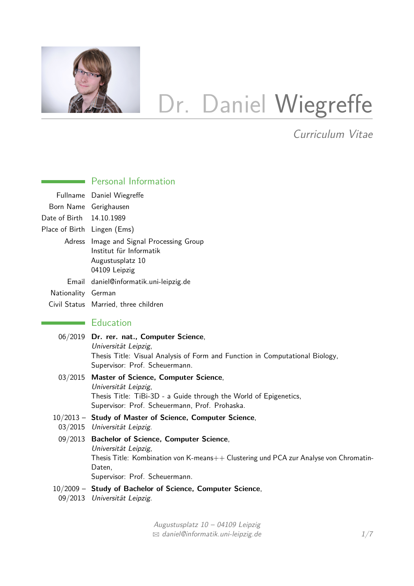

# Dr. Daniel Wiegreffe

Curriculum Vitae

|                             | <b>EXECUTE:</b> Personal Information                                                                                                                                                                        |
|-----------------------------|-------------------------------------------------------------------------------------------------------------------------------------------------------------------------------------------------------------|
|                             | Fullname Daniel Wiegreffe                                                                                                                                                                                   |
|                             | Born Name Gerighausen                                                                                                                                                                                       |
| Date of Birth               | 14.10.1989                                                                                                                                                                                                  |
| Place of Birth Lingen (Ems) |                                                                                                                                                                                                             |
|                             | Adress Image and Signal Processing Group<br>Institut für Informatik<br>Augustusplatz 10<br>04109 Leipzig                                                                                                    |
|                             | Email daniel@informatik.uni-leipzig.de                                                                                                                                                                      |
| Nationality German          |                                                                                                                                                                                                             |
|                             | Civil Status Married, three children                                                                                                                                                                        |
|                             | $\blacksquare$ Education                                                                                                                                                                                    |
|                             | 06/2019 Dr. rer. nat., Computer Science,<br>Universität Leipzig,<br>Thesis Title: Visual Analysis of Form and Function in Computational Biology,<br>Supervisor: Prof. Scheuermann.                          |
|                             | 03/2015 Master of Science, Computer Science,<br>Universität Leipzig,<br>Thesis Title: TiBi-3D - a Guide through the World of Epigenetics,<br>Supervisor: Prof. Scheuermann, Prof. Prohaska.                 |
|                             | 10/2013 - Study of Master of Science, Computer Science,<br>03/2015 Universität Leipzig.                                                                                                                     |
|                             | 09/2013 Bachelor of Science, Computer Science,<br>Universität Leipzig,<br>Thesis Title: Kombination von K-means++ Clustering und PCA zur Analyse von Chromatin-<br>Daten,<br>Supervisor: Prof. Scheuermann. |
|                             | 10/2009 - Study of Bachelor of Science, Computer Science,<br>09/2013 Universität Leipzig.                                                                                                                   |
|                             |                                                                                                                                                                                                             |

Augustusplatz 10 – 04109 Leipzig  $\boxtimes$  [daniel@informatik.uni-leipzig.de](mailto:daniel@informatik.uni-leipzig.de)  $1/7$  $1/7$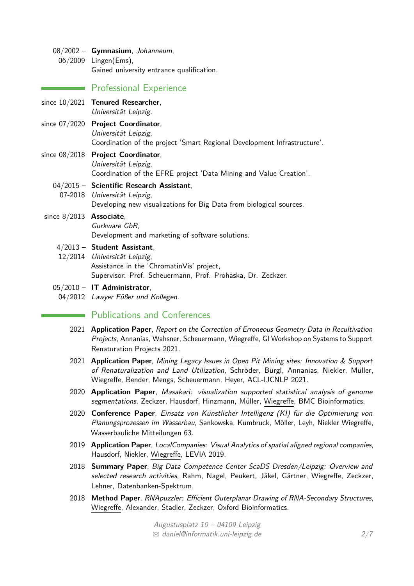08/2002 – **Gymnasium**, Johanneum, 06/2009 Lingen(Ems), Gained university entrance qualification.

## **Professional Experience**

- since 10/2021 **Tenured Researcher**, Universität Leipzig.
- since 07/2020 **Project Coordinator**, Universität Leipzig, Coordination of the project 'Smart Regional Development Infrastructure'.
- since 08/2018 **Project Coordinator**, Universität Leipzig, Coordination of the EFRE project 'Data Mining and Value Creation'.

# 04/2015 – **Scientific Research Assistant**,

- 07-2018 Universität Leipzig, Developing new visualizations for Big Data from biological sources.
- since 8/2013 **Associate**, Gurkware GbR, Development and marketing of software solutions.
	- 4/2013 **Student Assistant**,
	- 12/2014 Universität Leipzig, Assistance in the 'ChromatinVis' project, Supervisor: Prof. Scheuermann, Prof. Prohaska, Dr. Zeckzer.
	- 05/2010 **IT Administrator**,
		- 04/2012 Lawyer Füßer und Kollegen.

## **Executive Publications and Conferences**

- 2021 **Application Paper**, Report on the Correction of Erroneous Geometry Data in Recultivation Projects, Annanias, Wahsner, Scheuermann, Wiegreffe, GI Workshop on Systems to Support Renaturation Projects 2021.
- 2021 **Application Paper**, Mining Legacy Issues in Open Pit Mining sites: Innovation & Support of Renaturalization and Land Utilization, Schröder, Bürgl, Annanias, Niekler, Müller, Wiegreffe, Bender, Mengs, Scheuermann, Heyer, ACL-IJCNLP 2021.
- 2020 **Application Paper**, Masakari: visualization supported statistical analysis of genome segmentations, Zeckzer, Hausdorf, Hinzmann, Müller, Wiegreffe, BMC Bioinformatics.
- 2020 **Conference Paper**, Einsatz von Künstlicher Intelligenz (KI) für die Optimierung von Planungsprozessen im Wasserbau, Sankowska, Kumbruck, Möller, Leyh, Niekler Wiegreffe, Wasserbauliche Mitteilungen 63.
- 2019 **Application Paper**, LocalCompanies: Visual Analytics of spatial aligned regional companies, Hausdorf, Niekler, Wiegreffe, LEVIA 2019.
- 2018 **Summary Paper**, Big Data Competence Center ScaDS Dresden/Leipzig: Overview and selected research activities, Rahm, Nagel, Peukert, Jäkel, Gärtner, Wiegreffe, Zeckzer, Lehner, Datenbanken-Spektrum.
- 2018 **Method Paper**, RNApuzzler: Efficient Outerplanar Drawing of RNA-Secondary Structures, Wiegreffe, Alexander, Stadler, Zeckzer, Oxford Bioinformatics.

Augustusplatz 10 – 04109 Leipzig  $\boxtimes$  [daniel@informatik.uni-leipzig.de](mailto:daniel@informatik.uni-leipzig.de) 2[/7](#page-5-0)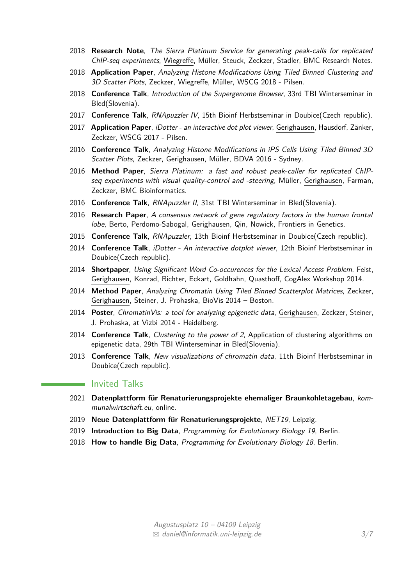- 2018 **Research Note**, The Sierra Platinum Service for generating peak-calls for replicated ChIP-seq experiments, Wiegreffe, Müller, Steuck, Zeckzer, Stadler, BMC Research Notes.
- 2018 **Application Paper**, Analyzing Histone Modifications Using Tiled Binned Clustering and 3D Scatter Plots, Zeckzer, Wiegreffe, Müller, WSCG 2018 - Pilsen.
- 2018 **Conference Talk**, Introduction of the Supergenome Browser, 33rd TBI Winterseminar in Bled(Slovenia).
- 2017 **Conference Talk**, RNApuzzler IV, 15th Bioinf Herbstseminar in Doubice(Czech republic).
- 2017 **Application Paper**, iDotter an interactive dot plot viewer, Gerighausen, Hausdorf, Zänker, Zeckzer, WSCG 2017 - Pilsen.
- 2016 **Conference Talk**, Analyzing Histone Modifications in iPS Cells Using Tiled Binned 3D Scatter Plots, Zeckzer, Gerighausen, Müller, BDVA 2016 - Sydney.
- 2016 **Method Paper**, Sierra Platinum: a fast and robust peak-caller for replicated ChIPseq experiments with visual quality-control and -steering, Müller, Gerighausen, Farman, Zeckzer, BMC Bioinformatics.
- 2016 **Conference Talk**, RNApuzzler II, 31st TBI Winterseminar in Bled(Slovenia).
- 2016 **Research Paper**, A consensus network of gene regulatory factors in the human frontal lobe, Berto, Perdomo-Sabogal, Gerighausen, Qin, Nowick, Frontiers in Genetics.
- 2015 **Conference Talk**, RNApuzzler, 13th Bioinf Herbstseminar in Doubice(Czech republic).
- 2014 **Conference Talk**, iDotter An interactive dotplot viewer, 12th Bioinf Herbstseminar in Doubice(Czech republic).
- 2014 **Shortpaper**, Using Significant Word Co-occurences for the Lexical Access Problem, Feist, Gerighausen, Konrad, Richter, Eckart, Goldhahn, Quasthoff, CogAlex Workshop 2014.
- 2014 **Method Paper**, Analyzing Chromatin Using Tiled Binned Scatterplot Matrices, Zeckzer, Gerighausen, Steiner, J. Prohaska, BioVis 2014 – Boston.
- 2014 **Poster**, ChromatinVis: a tool for analyzing epigenetic data, Gerighausen, Zeckzer, Steiner, J. Prohaska, at Vizbi 2014 - Heidelberg.
- 2014 **Conference Talk**, Clustering to the power of 2, Application of clustering algorithms on epigenetic data, 29th TBI Winterseminar in Bled(Slovenia).
- 2013 **Conference Talk**, New visualizations of chromatin data, 11th Bioinf Herbstseminar in Doubice(Czech republic).

#### **Invited Talks**

- 2021 **Datenplattform für Renaturierungsprojekte ehemaliger Braunkohletagebau**, kommunalwirtschaft.eu, online.
- 2019 **Neue Datenplattform für Renaturierungsprojekte**, NET19, Leipzig.
- 2019 **Introduction to Big Data**, Programming for Evolutionary Biology 19, Berlin.
- 2018 **How to handle Big Data**, Programming for Evolutionary Biology 18, Berlin.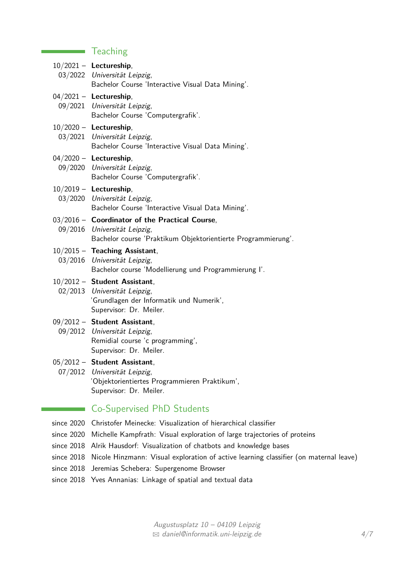# **Teaching**

 $\mathcal{L}^{\text{max}}_{\text{max}}$  and  $\mathcal{L}^{\text{max}}_{\text{max}}$ 

 $\sim$ 

|  | $10/2021 -$ Lectureship,<br>03/2022 Universität Leipzig,<br>Bachelor Course 'Interactive Visual Data Mining'.                                   |
|--|-------------------------------------------------------------------------------------------------------------------------------------------------|
|  | $04/2021 -$ Lectureship,<br>09/2021 Universität Leipzig,<br>Bachelor Course 'Computergrafik'.                                                   |
|  | $10/2020$ - Lectureship,<br>03/2021 Universität Leipzig,<br>Bachelor Course 'Interactive Visual Data Mining'.                                   |
|  | $04/2020$ - Lectureship,<br>09/2020 Universität Leipzig,<br>Bachelor Course 'Computergrafik'.                                                   |
|  | $10/2019$ - Lectureship,<br>03/2020 Universität Leipzig,<br>Bachelor Course 'Interactive Visual Data Mining'.                                   |
|  | 03/2016 - Coordinator of the Practical Course,<br>09/2016 Universität Leipzig,<br>Bachelor course 'Praktikum Objektorientierte Programmierung'. |
|  | $10/2015$ - Teaching Assistant,<br>03/2016 Universität Leipzig,<br>Bachelor course 'Modellierung und Programmierung I'.                         |
|  | $10/2012$ - Student Assistant,<br>02/2013 Universität Leipzig,<br>'Grundlagen der Informatik und Numerik',<br>Supervisor: Dr. Meiler.           |
|  | 09/2012 - Student Assistant,<br>09/2012 Universität Leipzig,<br>Remidial course 'c programming',<br>Supervisor: Dr. Meiler.                     |
|  | $05/2012$ - Student Assistant,<br>07/2012 Universität Leipzig,<br>'Objektorientiertes Programmieren Praktikum',<br>Supervisor: Dr. Meiler.      |
|  | <b>Co-Supervised PhD Students</b>                                                                                                               |
|  |                                                                                                                                                 |

- since 2020 Christofer Meinecke: Visualization of hierarchical classifier
- since 2020 Michelle Kampfrath: Visual exploration of large trajectories of proteins
- since 2018 Alrik Hausdorf: Visualization of chatbots and knowledge bases
- since 2018 Nicole Hinzmann: Visual exploration of active learning classifier (on maternal leave)
- since 2018 Jeremias Schebera: Supergenome Browser
- since 2018 Yves Annanias: Linkage of spatial and textual data

Augustusplatz 10 – 04109 Leipzig  $\boxtimes$  [daniel@informatik.uni-leipzig.de](mailto:daniel@informatik.uni-leipzig.de)  $4/7$  $4/7$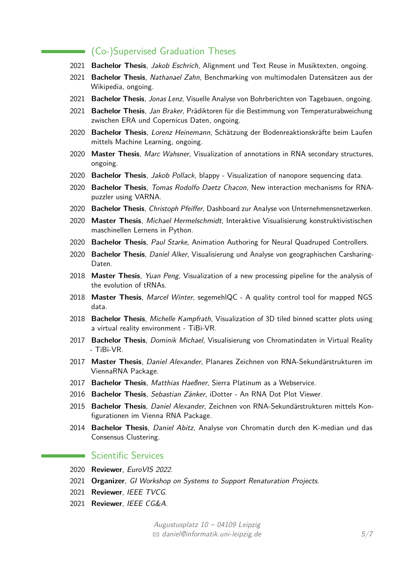### (Co-)Supervised Graduation Theses

- 2021 **Bachelor Thesis**, Jakob Eschrich, Alignment und Text Reuse in Musiktexten, ongoing.
- 2021 **Bachelor Thesis**, Nathanael Zahn, Benchmarking von multimodalen Datensätzen aus der Wikipedia, ongoing.
- 2021 **Bachelor Thesis**, Jonas Lenz, Visuelle Analyse von Bohrberichten von Tagebauen, ongoing.
- 2021 **Bachelor Thesis**, Jan Braker, Prädiktoren für die Bestimmung von Temperaturabweichung zwischen ERA und Copernicus Daten, ongoing.
- 2020 **Bachelor Thesis**, Lorenz Heinemann, Schätzung der Bodenreaktionskräfte beim Laufen mittels Machine Learning, ongoing.
- 2020 **Master Thesis**, Marc Wahsner, Visualization of annotations in RNA secondary structures, ongoing.
- 2020 **Bachelor Thesis**, Jakob Pollack, blappy Visualization of nanopore sequencing data.
- 2020 **Bachelor Thesis**, Tomas Rodolfo Daetz Chacon, New interaction mechanisms for RNApuzzler using VARNA.
- 2020 **Bachelor Thesis**, Christoph Pfeiffer, Dashboard zur Analyse von Unternehmensnetzwerken.
- 2020 **Master Thesis**, Michael Hermelschmidt, Interaktive Visualisierung konstruktivistischen maschinellen Lernens in Python.
- 2020 **Bachelor Thesis**, Paul Starke, Animation Authoring for Neural Quadruped Controllers.
- 2020 **Bachelor Thesis**, Daniel Alker, Visualisierung und Analyse von geographischen Carsharing-Daten.
- 2018 **Master Thesis**, Yuan Peng, Visualization of a new processing pipeline for the analysis of the evolution of tRNAs.
- 2018 **Master Thesis**, Marcel Winter, segemehlQC A quality control tool for mapped NGS data.
- 2018 **Bachelor Thesis**, Michelle Kampfrath, Visualization of 3D tiled binned scatter plots using a virtual reality environment - TiBi-VR.
- 2017 **Bachelor Thesis**, Dominik Michael, Visualisierung von Chromatindaten in Virtual Reality - TiBi-VR.
- 2017 **Master Thesis**, Daniel Alexander, Planares Zeichnen von RNA-Sekundärstrukturen im ViennaRNA Package.
- 2017 **Bachelor Thesis**, Matthias Haeßner, Sierra Platinum as a Webservice.
- 2016 **Bachelor Thesis**, Sebastian Zänker, iDotter An RNA Dot Plot Viewer.
- 2015 **Bachelor Thesis**, Daniel Alexander, Zeichnen von RNA-Sekundärstrukturen mittels Konfigurationen im Vienna RNA Package.
- 2014 **Bachelor Thesis**, Daniel Abitz, Analyse von Chromatin durch den K-median und das Consensus Clustering.

#### **Scientific Services**

- 2020 **Reviewer**, EuroVIS 2022.
- 2021 **Organizer**, GI Workshop on Systems to Support Renaturation Projects.
- 2021 **Reviewer**, IEEE TVCG.
- 2021 **Reviewer**, IEEE CG&A.

Augustusplatz 10 – 04109 Leipzig  $\boxtimes$  [daniel@informatik.uni-leipzig.de](mailto:daniel@informatik.uni-leipzig.de) 5[/7](#page-5-0)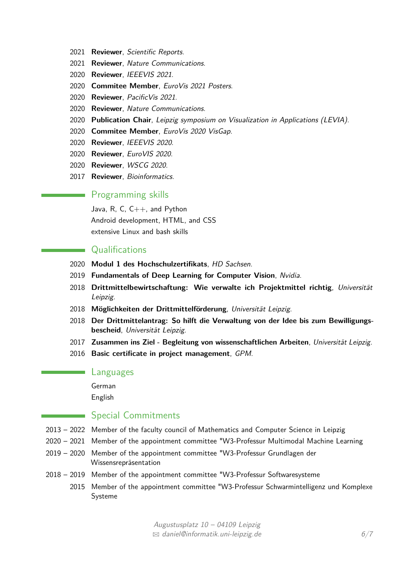- 2021 **Reviewer**, Scientific Reports.
- 2021 **Reviewer**, Nature Communications.
- 2020 **Reviewer**, IEEEVIS 2021.
- 2020 **Commitee Member**, EuroVis 2021 Posters.
- 2020 **Reviewer**, PacificVis 2021.
- 2020 **Reviewer**, Nature Communications.
- 2020 **Publication Chair**, Leipzig symposium on Visualization in Applications (LEVIA).
- 2020 **Commitee Member**, EuroVis 2020 VisGap.
- 2020 **Reviewer**, IEEEVIS 2020.
- 2020 **Reviewer**, EuroVIS 2020.
- 2020 **Reviewer**, WSCG 2020.
- 2017 **Reviewer**, Bioinformatics.

## **Programming skills**

Java, R, C,  $C_{++}$ , and Python Android development, HTML, and CSS extensive Linux and bash skills

# Qualifications

- 2020 **Modul 1 des Hochschulzertifikats**, HD Sachsen.
- 2019 **Fundamentals of Deep Learning for Computer Vision**, Nvidia.
- 2018 **Drittmittelbewirtschaftung: Wie verwalte ich Projektmittel richtig**, Universität Leipzig.
- 2018 **Möglichkeiten der Drittmittelförderung**, Universität Leipzig.
- 2018 **Der Drittmittelantrag: So hilft die Verwaltung von der Idee bis zum Bewilligungsbescheid**, Universität Leipzig.
- 2017 **Zusammen ins Ziel Begleitung von wissenschaftlichen Arbeiten**, Universität Leipzig.
- 2016 **Basic certificate in project management**, GPM.

#### Languages

German English

#### Special Commitments

- <span id="page-5-0"></span>2013 – 2022 Member of the faculty council of Mathematics and Computer Science in Leipzig
- 2020 2021 Member of the appointment committee "W3-Professur Multimodal Machine Learning
- 2019 2020 Member of the appointment committee "W3-Professur Grundlagen der Wissensrepräsentation
- 2018 2019 Member of the appointment committee "W3-Professur Softwaresysteme
	- 2015 Member of the appointment committee "W3-Professur Schwarmintelligenz und Komplexe Systeme

Augustusplatz 10 – 04109 Leipzig  $\boxtimes$  [daniel@informatik.uni-leipzig.de](mailto:daniel@informatik.uni-leipzig.de) 6[/7](#page-5-0)